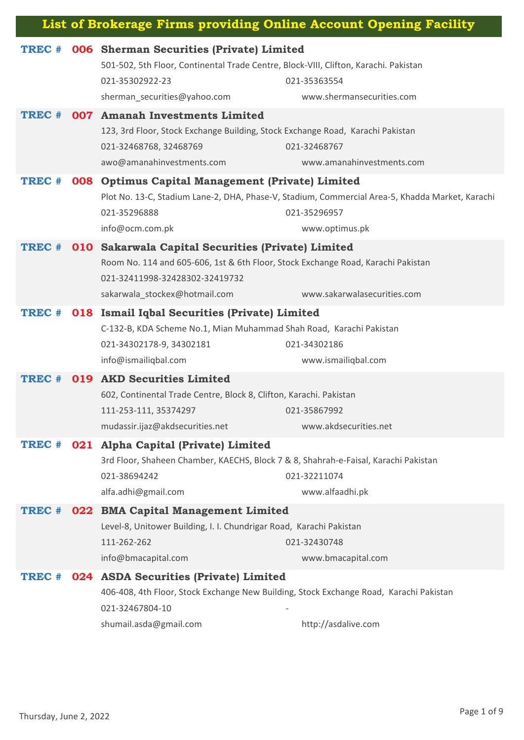| List of Brokerage Firms providing Online Account Opening Facility |     |                                                                                                                                                                                                           |                                                                                                                                   |  |
|-------------------------------------------------------------------|-----|-----------------------------------------------------------------------------------------------------------------------------------------------------------------------------------------------------------|-----------------------------------------------------------------------------------------------------------------------------------|--|
| TREC #                                                            |     | 006 Sherman Securities (Private) Limited<br>501-502, 5th Floor, Continental Trade Centre, Block-VIII, Clifton, Karachi. Pakistan<br>021-35302922-23<br>sherman_securities@yahoo.com                       | 021-35363554<br>www.shermansecurities.com                                                                                         |  |
| TREC #                                                            |     | 007 Amanah Investments Limited<br>123, 3rd Floor, Stock Exchange Building, Stock Exchange Road, Karachi Pakistan<br>021-32468768, 32468769<br>awo@amanahinvestments.com                                   | 021-32468767<br>www.amanahinvestments.com                                                                                         |  |
| TREC #                                                            | 008 | <b>Optimus Capital Management (Private) Limited</b><br>021-35296888<br>info@ocm.com.pk                                                                                                                    | Plot No. 13-C, Stadium Lane-2, DHA, Phase-V, Stadium, Commercial Area-5, Khadda Market, Karachi<br>021-35296957<br>www.optimus.pk |  |
| TREC #                                                            |     | 010 Sakarwala Capital Securities (Private) Limited<br>Room No. 114 and 605-606, 1st & 6th Floor, Stock Exchange Road, Karachi Pakistan<br>021-32411998-32428302-32419732<br>sakarwala_stockex@hotmail.com | www.sakarwalasecurities.com                                                                                                       |  |
| TREC #                                                            |     | 018 Ismail Iqbal Securities (Private) Limited<br>C-132-B, KDA Scheme No.1, Mian Muhammad Shah Road, Karachi Pakistan<br>021-34302178-9, 34302181<br>info@ismailiqbal.com                                  | 021-34302186<br>www.ismailiqbal.com                                                                                               |  |
| TREC #                                                            |     | 019 AKD Securities Limited<br>602, Continental Trade Centre, Block 8, Clifton, Karachi. Pakistan<br>111-253-111, 35374297<br>mudassir.ijaz@akdsecurities.net                                              | 021-35867992<br>www.akdsecurities.net                                                                                             |  |
| TREC #                                                            |     | 021 Alpha Capital (Private) Limited<br>3rd Floor, Shaheen Chamber, KAECHS, Block 7 & 8, Shahrah-e-Faisal, Karachi Pakistan<br>021-38694242<br>alfa.adhi@gmail.com                                         | 021-32211074<br>www.alfaadhi.pk                                                                                                   |  |
| TREC #                                                            |     | 022 BMA Capital Management Limited<br>Level-8, Unitower Building, I. I. Chundrigar Road, Karachi Pakistan<br>111-262-262<br>021-32430748<br>info@bmacapital.com<br>www.bmacapital.com                     |                                                                                                                                   |  |
| TREC #                                                            | 024 | <b>ASDA Securities (Private) Limited</b><br>406-408, 4th Floor, Stock Exchange New Building, Stock Exchange Road, Karachi Pakistan<br>021-32467804-10<br>shumail.asda@gmail.com                           | http://asdalive.com                                                                                                               |  |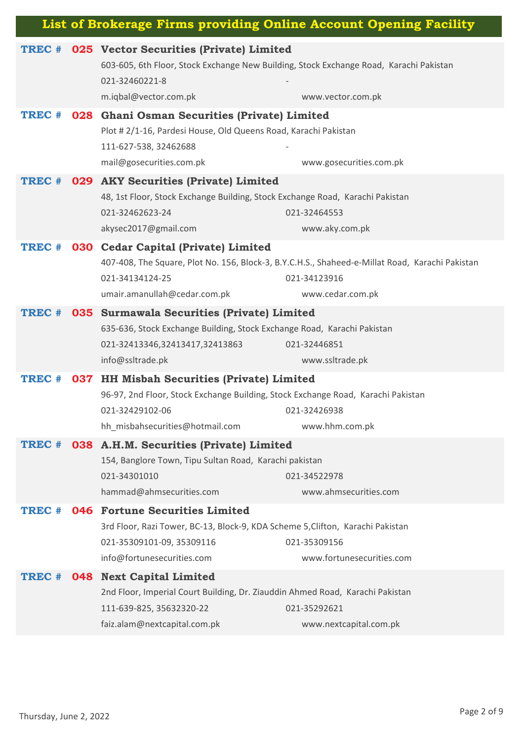| TREC # | 025 Vector Securities (Private) Limited                                                |                                                                                                 |
|--------|----------------------------------------------------------------------------------------|-------------------------------------------------------------------------------------------------|
|        | 603-605, 6th Floor, Stock Exchange New Building, Stock Exchange Road, Karachi Pakistan |                                                                                                 |
|        | 021-32460221-8                                                                         |                                                                                                 |
|        | m.iqbal@vector.com.pk                                                                  | www.vector.com.pk                                                                               |
| TREC # | 028 Ghani Osman Securities (Private) Limited                                           |                                                                                                 |
|        | Plot # 2/1-16, Pardesi House, Old Queens Road, Karachi Pakistan                        |                                                                                                 |
|        | 111-627-538, 32462688                                                                  |                                                                                                 |
|        | mail@gosecurities.com.pk                                                               | www.gosecurities.com.pk                                                                         |
| TREC # | 029 AKY Securities (Private) Limited                                                   |                                                                                                 |
|        | 48, 1st Floor, Stock Exchange Building, Stock Exchange Road, Karachi Pakistan          |                                                                                                 |
|        | 021-32462623-24                                                                        | 021-32464553                                                                                    |
|        | akysec2017@gmail.com                                                                   | www.aky.com.pk                                                                                  |
| TREC # | 030 Cedar Capital (Private) Limited                                                    |                                                                                                 |
|        |                                                                                        | 407-408, The Square, Plot No. 156, Block-3, B.Y.C.H.S., Shaheed-e-Millat Road, Karachi Pakistan |
|        | 021-34134124-25                                                                        | 021-34123916                                                                                    |
|        | umair.amanullah@cedar.com.pk                                                           | www.cedar.com.pk                                                                                |
| TREC # | 035 Surmawala Securities (Private) Limited                                             |                                                                                                 |
|        | 635-636, Stock Exchange Building, Stock Exchange Road, Karachi Pakistan                |                                                                                                 |
|        | 021-32413346,32413417,32413863                                                         | 021-32446851                                                                                    |
|        | info@ssltrade.pk                                                                       | www.ssltrade.pk                                                                                 |
| TREC # | 037 HH Misbah Securities (Private) Limited                                             |                                                                                                 |
|        | 96-97, 2nd Floor, Stock Exchange Building, Stock Exchange Road, Karachi Pakistan       |                                                                                                 |
|        | 021-32429102-06                                                                        | 021-32426938                                                                                    |
|        | hh misbahsecurities@hotmail.com                                                        | www.hhm.com.pk                                                                                  |
| TREC # | 038 A.H.M. Securities (Private) Limited                                                |                                                                                                 |
|        | 154, Banglore Town, Tipu Sultan Road, Karachi pakistan                                 |                                                                                                 |
|        | 021-34301010                                                                           | 021-34522978                                                                                    |
|        | hammad@ahmsecurities.com                                                               | www.ahmsecurities.com                                                                           |
| TREC # | 046 Fortune Securities Limited                                                         |                                                                                                 |
|        | 3rd Floor, Razi Tower, BC-13, Block-9, KDA Scheme 5, Clifton, Karachi Pakistan         |                                                                                                 |
|        | 021-35309101-09, 35309116                                                              | 021-35309156                                                                                    |
|        | info@fortunesecurities.com                                                             | www.fortunesecurities.com                                                                       |
| TREC # | <b>048 Next Capital Limited</b>                                                        |                                                                                                 |
|        | 2nd Floor, Imperial Court Building, Dr. Ziauddin Ahmed Road, Karachi Pakistan          |                                                                                                 |
|        | 111-639-825, 35632320-22                                                               | 021-35292621                                                                                    |
|        | faiz.alam@nextcapital.com.pk                                                           | www.nextcapital.com.pk                                                                          |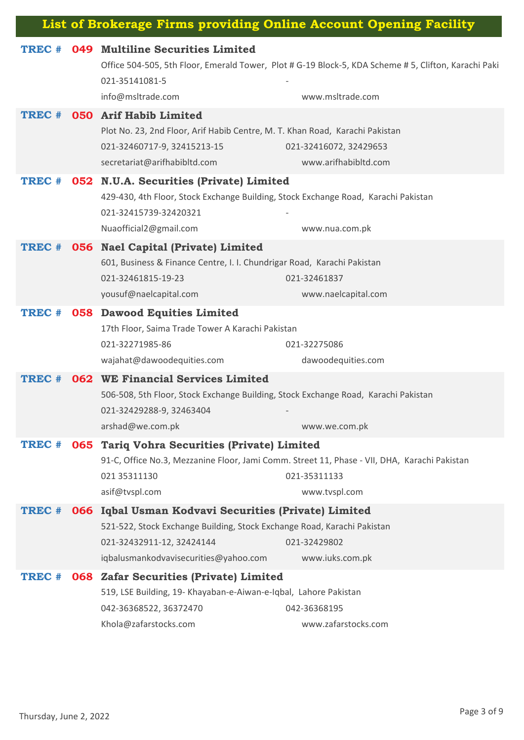| TREC # | 049 Multiline Securities Limited                                                                     |                                                                                              |
|--------|------------------------------------------------------------------------------------------------------|----------------------------------------------------------------------------------------------|
|        | Office 504-505, 5th Floor, Emerald Tower, Plot # G-19 Block-5, KDA Scheme # 5, Clifton, Karachi Paki |                                                                                              |
|        | 021-35141081-5                                                                                       |                                                                                              |
|        | info@msltrade.com                                                                                    | www.msltrade.com                                                                             |
| TREC # | <b>050 Arif Habib Limited</b>                                                                        |                                                                                              |
|        | Plot No. 23, 2nd Floor, Arif Habib Centre, M. T. Khan Road, Karachi Pakistan                         |                                                                                              |
|        | 021-32460717-9, 32415213-15                                                                          | 021-32416072, 32429653                                                                       |
|        | secretariat@arifhabibltd.com                                                                         | www.arifhabibltd.com                                                                         |
| TREC # | 052 N.U.A. Securities (Private) Limited                                                              |                                                                                              |
|        | 429-430, 4th Floor, Stock Exchange Building, Stock Exchange Road, Karachi Pakistan                   |                                                                                              |
|        | 021-32415739-32420321                                                                                |                                                                                              |
|        | Nuaofficial2@gmail.com                                                                               | www.nua.com.pk                                                                               |
| TREC # | <b>056</b> Nael Capital (Private) Limited                                                            |                                                                                              |
|        | 601, Business & Finance Centre, I. I. Chundrigar Road, Karachi Pakistan                              |                                                                                              |
|        | 021-32461815-19-23                                                                                   | 021-32461837                                                                                 |
|        | yousuf@naelcapital.com                                                                               | www.naelcapital.com                                                                          |
| TREC # | <b>058 Dawood Equities Limited</b>                                                                   |                                                                                              |
|        | 17th Floor, Saima Trade Tower A Karachi Pakistan                                                     |                                                                                              |
|        | 021-32271985-86                                                                                      | 021-32275086                                                                                 |
|        | wajahat@dawoodequities.com                                                                           | dawoodequities.com                                                                           |
| TREC # | <b>062 WE Financial Services Limited</b>                                                             |                                                                                              |
|        | 506-508, 5th Floor, Stock Exchange Building, Stock Exchange Road, Karachi Pakistan                   |                                                                                              |
|        | 021-32429288-9, 32463404                                                                             |                                                                                              |
|        | arshad@we.com.pk                                                                                     | www.we.com.pk                                                                                |
| TREC # | 065 Tariq Vohra Securities (Private) Limited                                                         |                                                                                              |
|        |                                                                                                      | 91-C, Office No.3, Mezzanine Floor, Jami Comm. Street 11, Phase - VII, DHA, Karachi Pakistan |
|        | 021 35311130                                                                                         | 021-35311133                                                                                 |
|        | asif@tvspl.com                                                                                       | www.tvspl.com                                                                                |
| TREC # | 066 Iqbal Usman Kodvavi Securities (Private) Limited                                                 |                                                                                              |
|        | 521-522, Stock Exchange Building, Stock Exchange Road, Karachi Pakistan                              |                                                                                              |
|        | 021-32432911-12, 32424144                                                                            | 021-32429802                                                                                 |
|        | iqbalusmankodvavisecurities@yahoo.com                                                                | www.iuks.com.pk                                                                              |
| TREC # | <b>068 Zafar Securities (Private) Limited</b>                                                        |                                                                                              |
|        | 519, LSE Building, 19- Khayaban-e-Aiwan-e-Iqbal, Lahore Pakistan                                     |                                                                                              |
|        | 042-36368522, 36372470                                                                               | 042-36368195                                                                                 |
|        | Khola@zafarstocks.com                                                                                | www.zafarstocks.com                                                                          |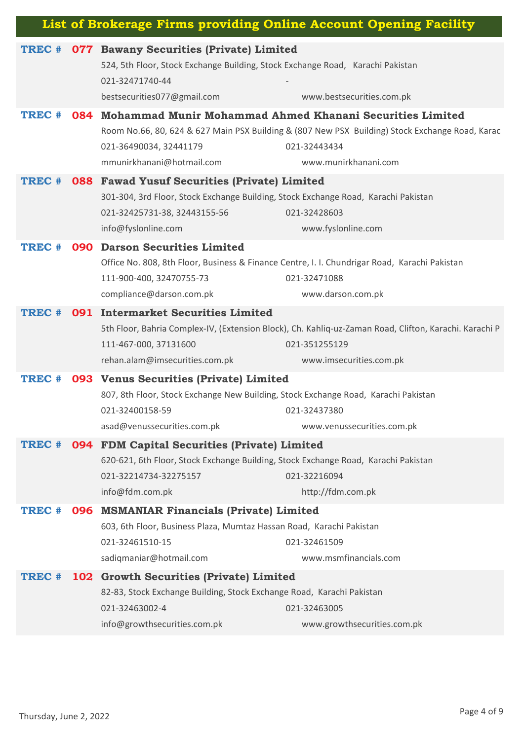| List of Brokerage Firms providing Online Account Opening Facility |     |                                                                                                                                                                                              |                                                                                                                                                                                                         |  |
|-------------------------------------------------------------------|-----|----------------------------------------------------------------------------------------------------------------------------------------------------------------------------------------------|---------------------------------------------------------------------------------------------------------------------------------------------------------------------------------------------------------|--|
| TREC #                                                            |     | <b>077 Bawany Securities (Private) Limited</b><br>524, 5th Floor, Stock Exchange Building, Stock Exchange Road, Karachi Pakistan<br>021-32471740-44<br>bestsecurities077@gmail.com           | www.bestsecurities.com.pk                                                                                                                                                                               |  |
| TREC #                                                            |     | 021-36490034, 32441179<br>mmunirkhanani@hotmail.com                                                                                                                                          | 084 Mohammad Munir Mohammad Ahmed Khanani Securities Limited<br>Room No.66, 80, 624 & 627 Main PSX Building & (807 New PSX Building) Stock Exchange Road, Karac<br>021-32443434<br>www.munirkhanani.com |  |
| TREC #                                                            | 088 | <b>Fawad Yusuf Securities (Private) Limited</b><br>301-304, 3rd Floor, Stock Exchange Building, Stock Exchange Road, Karachi Pakistan<br>021-32425731-38, 32443155-56<br>info@fyslonline.com | 021-32428603<br>www.fyslonline.com                                                                                                                                                                      |  |
| TREC #                                                            |     | <b>090 Darson Securities Limited</b><br>111-900-400, 32470755-73<br>compliance@darson.com.pk                                                                                                 | Office No. 808, 8th Floor, Business & Finance Centre, I. I. Chundrigar Road, Karachi Pakistan<br>021-32471088<br>www.darson.com.pk                                                                      |  |
| TREC #                                                            |     | 091 Intermarket Securities Limited<br>111-467-000, 37131600<br>rehan.alam@imsecurities.com.pk                                                                                                | 5th Floor, Bahria Complex-IV, (Extension Block), Ch. Kahliq-uz-Zaman Road, Clifton, Karachi. Karachi P<br>021-351255129<br>www.imsecurities.com.pk                                                      |  |
| TREC #                                                            |     | 093 Venus Securities (Private) Limited<br>807, 8th Floor, Stock Exchange New Building, Stock Exchange Road, Karachi Pakistan<br>021-32400158-59<br>asad@venussecurities.com.pk               | 021-32437380<br>www.venussecurities.com.pk                                                                                                                                                              |  |
| TREC #                                                            |     | 094 FDM Capital Securities (Private) Limited<br>620-621, 6th Floor, Stock Exchange Building, Stock Exchange Road, Karachi Pakistan<br>021-32214734-32275157<br>info@fdm.com.pk               | 021-32216094<br>http://fdm.com.pk                                                                                                                                                                       |  |
| TREC #                                                            |     | 096 MSMANIAR Financials (Private) Limited<br>603, 6th Floor, Business Plaza, Mumtaz Hassan Road, Karachi Pakistan<br>021-32461510-15<br>sadiqmaniar@hotmail.com                              | 021-32461509<br>www.msmfinancials.com                                                                                                                                                                   |  |
| TREC #                                                            |     | 102 Growth Securities (Private) Limited<br>82-83, Stock Exchange Building, Stock Exchange Road, Karachi Pakistan<br>021-32463002-4<br>info@growthsecurities.com.pk                           | 021-32463005<br>www.growthsecurities.com.pk                                                                                                                                                             |  |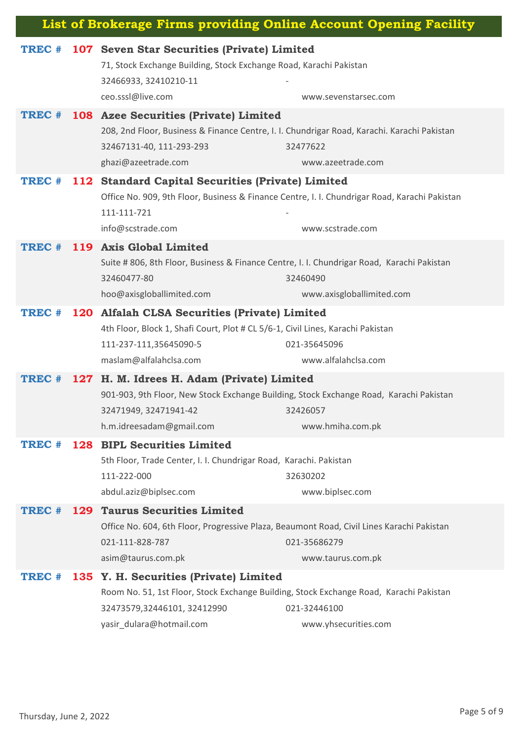| List of Brokerage Firms providing Online Account Opening Facility |     |                                                                                                                                                                                                |                                       |
|-------------------------------------------------------------------|-----|------------------------------------------------------------------------------------------------------------------------------------------------------------------------------------------------|---------------------------------------|
| TREC #                                                            |     | 107 Seven Star Securities (Private) Limited<br>71, Stock Exchange Building, Stock Exchange Road, Karachi Pakistan<br>32466933, 32410210-11<br>ceo.sssl@live.com                                | www.sevenstarsec.com                  |
| TREC #                                                            |     | <b>108 Azee Securities (Private) Limited</b><br>208, 2nd Floor, Business & Finance Centre, I. I. Chundrigar Road, Karachi. Karachi Pakistan<br>32467131-40, 111-293-293<br>ghazi@azeetrade.com | 32477622<br>www.azeetrade.com         |
| TREC #                                                            | 112 | <b>Standard Capital Securities (Private) Limited</b><br>Office No. 909, 9th Floor, Business & Finance Centre, I. I. Chundrigar Road, Karachi Pakistan<br>111-111-721<br>info@scstrade.com      | www.scstrade.com                      |
| TREC #                                                            |     | 119 Axis Global Limited<br>Suite # 806, 8th Floor, Business & Finance Centre, I. I. Chundrigar Road, Karachi Pakistan<br>32460477-80<br>hoo@axisgloballimited.com                              | 32460490<br>www.axisgloballimited.com |
| TREC #                                                            |     | 120 Alfalah CLSA Securities (Private) Limited<br>4th Floor, Block 1, Shafi Court, Plot # CL 5/6-1, Civil Lines, Karachi Pakistan<br>111-237-111,35645090-5<br>maslam@alfalahclsa.com           | 021-35645096<br>www.alfalahclsa.com   |
| TREC #                                                            |     | 127 H. M. Idrees H. Adam (Private) Limited<br>901-903, 9th Floor, New Stock Exchange Building, Stock Exchange Road, Karachi Pakistan<br>32471949, 32471941-42<br>h.m.idreesadam@gmail.com      | 32426057<br>www.hmiha.com.pk          |
| TREC #                                                            |     | 128 BIPL Securities Limited<br>5th Floor, Trade Center, I. I. Chundrigar Road, Karachi. Pakistan<br>111-222-000<br>abdul.aziz@biplsec.com                                                      | 32630202<br>www.biplsec.com           |
| TREC #                                                            |     | 129 Taurus Securities Limited<br>Office No. 604, 6th Floor, Progressive Plaza, Beaumont Road, Civil Lines Karachi Pakistan<br>021-111-828-787<br>asim@taurus.com.pk                            | 021-35686279<br>www.taurus.com.pk     |
| TREC #                                                            | 135 | Y. H. Securities (Private) Limited<br>Room No. 51, 1st Floor, Stock Exchange Building, Stock Exchange Road, Karachi Pakistan<br>32473579,32446101, 32412990<br>yasir_dulara@hotmail.com        | 021-32446100<br>www.yhsecurities.com  |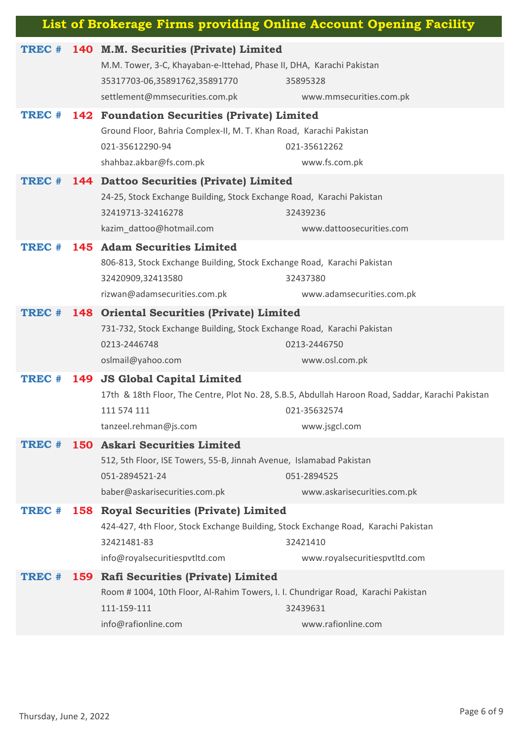| List of Brokerage Firms providing Online Account Opening Facility |  |                                                                                                                                                                                  |                                                                                                                                    |  |
|-------------------------------------------------------------------|--|----------------------------------------------------------------------------------------------------------------------------------------------------------------------------------|------------------------------------------------------------------------------------------------------------------------------------|--|
| TREC #                                                            |  | 140 M.M. Securities (Private) Limited<br>M.M. Tower, 3-C, Khayaban-e-Ittehad, Phase II, DHA, Karachi Pakistan<br>35317703-06,35891762,35891770<br>settlement@mmsecurities.com.pk | 35895328<br>www.mmsecurities.com.pk                                                                                                |  |
| TREC #                                                            |  | <b>142 Foundation Securities (Private) Limited</b><br>Ground Floor, Bahria Complex-II, M. T. Khan Road, Karachi Pakistan<br>021-35612290-94<br>shahbaz.akbar@fs.com.pk           | 021-35612262<br>www.fs.com.pk                                                                                                      |  |
| TREC #                                                            |  | 144 Dattoo Securities (Private) Limited<br>24-25, Stock Exchange Building, Stock Exchange Road, Karachi Pakistan<br>32419713-32416278<br>kazim_dattoo@hotmail.com                | 32439236<br>www.dattoosecurities.com                                                                                               |  |
| TREC #                                                            |  | 145 Adam Securities Limited<br>806-813, Stock Exchange Building, Stock Exchange Road, Karachi Pakistan<br>32420909,32413580<br>rizwan@adamsecurities.com.pk                      | 32437380<br>www.adamsecurities.com.pk                                                                                              |  |
| TREC #                                                            |  | <b>148 Oriental Securities (Private) Limited</b><br>731-732, Stock Exchange Building, Stock Exchange Road, Karachi Pakistan<br>0213-2446748<br>oslmail@yahoo.com                 | 0213-2446750<br>www.osl.com.pk                                                                                                     |  |
| TREC #                                                            |  | 149 JS Global Capital Limited<br>111 574 111<br>tanzeel.rehman@js.com                                                                                                            | 17th & 18th Floor, The Centre, Plot No. 28, S.B.5, Abdullah Haroon Road, Saddar, Karachi Pakistan<br>021-35632574<br>www.jsgcl.com |  |
| TREC #                                                            |  | 150 Askari Securities Limited<br>512, 5th Floor, ISE Towers, 55-B, Jinnah Avenue, Islamabad Pakistan<br>051-2894521-24<br>baber@askarisecurities.com.pk                          | 051-2894525<br>www.askarisecurities.com.pk                                                                                         |  |
| TREC #                                                            |  | 158 Royal Securities (Private) Limited<br>424-427, 4th Floor, Stock Exchange Building, Stock Exchange Road, Karachi Pakistan<br>32421481-83<br>info@royalsecuritiespvtltd.com    | 32421410<br>www.royalsecuritiespvtltd.com                                                                                          |  |
| TREC #                                                            |  | 159 Rafi Securities (Private) Limited<br>Room # 1004, 10th Floor, Al-Rahim Towers, I. I. Chundrigar Road, Karachi Pakistan<br>111-159-111<br>info@rafionline.com                 | 32439631<br>www.rafionline.com                                                                                                     |  |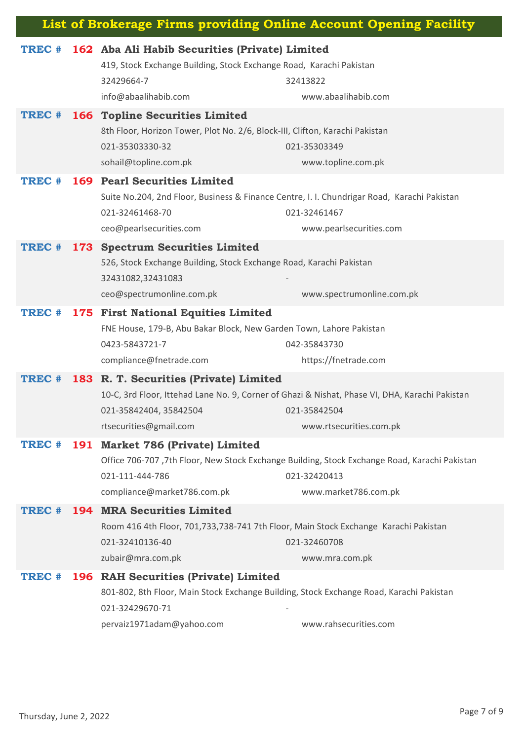| List of Brokerage Firms providing Online Account Opening Facility |     |                                                                                                                                                                                  |                                                                                                                                           |
|-------------------------------------------------------------------|-----|----------------------------------------------------------------------------------------------------------------------------------------------------------------------------------|-------------------------------------------------------------------------------------------------------------------------------------------|
| TREC #                                                            |     | 162 Aba Ali Habib Securities (Private) Limited<br>419, Stock Exchange Building, Stock Exchange Road, Karachi Pakistan<br>32429664-7                                              | 32413822                                                                                                                                  |
|                                                                   |     | info@abaalihabib.com                                                                                                                                                             | www.abaalihabib.com                                                                                                                       |
| TREC #                                                            |     | <b>166 Topline Securities Limited</b><br>8th Floor, Horizon Tower, Plot No. 2/6, Block-III, Clifton, Karachi Pakistan<br>021-35303330-32<br>sohail@topline.com.pk                | 021-35303349<br>www.topline.com.pk                                                                                                        |
| TREC #                                                            |     | <b>169 Pearl Securities Limited</b><br>Suite No.204, 2nd Floor, Business & Finance Centre, I. I. Chundrigar Road, Karachi Pakistan<br>021-32461468-70<br>ceo@pearlsecurities.com | 021-32461467<br>www.pearlsecurities.com                                                                                                   |
| TREC #                                                            |     | 173 Spectrum Securities Limited<br>526, Stock Exchange Building, Stock Exchange Road, Karachi Pakistan<br>32431082,32431083<br>ceo@spectrumonline.com.pk                         | www.spectrumonline.com.pk                                                                                                                 |
| TREC #                                                            |     | 175 First National Equities Limited<br>FNE House, 179-B, Abu Bakar Block, New Garden Town, Lahore Pakistan<br>0423-5843721-7<br>compliance@fnetrade.com                          | 042-35843730<br>https://fnetrade.com                                                                                                      |
| TREC #                                                            | 183 | R. T. Securities (Private) Limited<br>021-35842404, 35842504<br>rtsecurities@gmail.com                                                                                           | 10-C, 3rd Floor, Ittehad Lane No. 9, Corner of Ghazi & Nishat, Phase VI, DHA, Karachi Pakistan<br>021-35842504<br>www.rtsecurities.com.pk |
| TREC #                                                            |     | 191 Market 786 (Private) Limited<br>021-111-444-786<br>compliance@market786.com.pk                                                                                               | Office 706-707, 7th Floor, New Stock Exchange Building, Stock Exchange Road, Karachi Pakistan<br>021-32420413<br>www.market786.com.pk     |
| TREC #                                                            |     | <b>194 MRA Securities Limited</b><br>Room 416 4th Floor, 701,733,738-741 7th Floor, Main Stock Exchange Karachi Pakistan<br>021-32410136-40<br>zubair@mra.com.pk                 | 021-32460708<br>www.mra.com.pk                                                                                                            |
| TREC #                                                            |     | 196 RAH Securities (Private) Limited<br>801-802, 8th Floor, Main Stock Exchange Building, Stock Exchange Road, Karachi Pakistan<br>021-32429670-71<br>pervaiz1971adam@yahoo.com  | www.rahsecurities.com                                                                                                                     |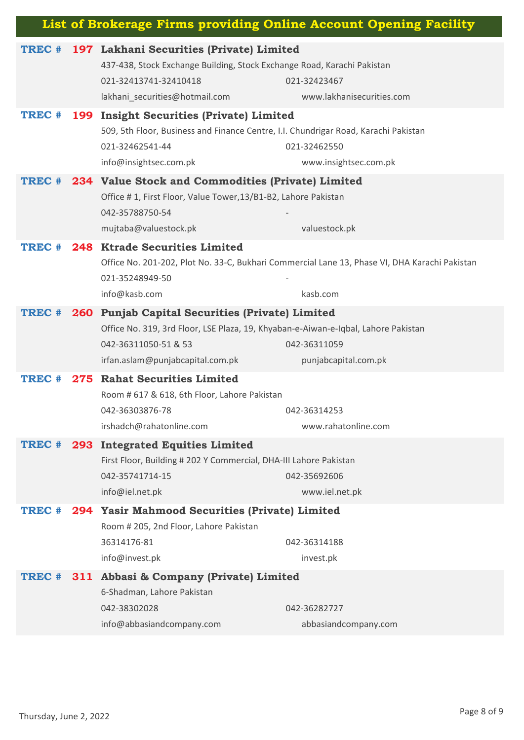| List of Brokerage Firms providing Online Account Opening Facility |     |                                                                                                                                                                                                   |                                                                                                           |  |
|-------------------------------------------------------------------|-----|---------------------------------------------------------------------------------------------------------------------------------------------------------------------------------------------------|-----------------------------------------------------------------------------------------------------------|--|
| TREC #                                                            |     | 197 Lakhani Securities (Private) Limited<br>437-438, Stock Exchange Building, Stock Exchange Road, Karachi Pakistan<br>021-32413741-32410418<br>lakhani_securities@hotmail.com                    | 021-32423467<br>www.lakhanisecurities.com                                                                 |  |
| TREC #                                                            |     | 199 Insight Securities (Private) Limited<br>509, 5th Floor, Business and Finance Centre, I.I. Chundrigar Road, Karachi Pakistan<br>021-32462541-44<br>info@insightsec.com.pk                      | 021-32462550<br>www.insightsec.com.pk                                                                     |  |
| TREC #                                                            |     | 234 Value Stock and Commodities (Private) Limited<br>Office #1, First Floor, Value Tower, 13/B1-B2, Lahore Pakistan<br>042-35788750-54<br>mujtaba@valuestock.pk                                   | valuestock.pk                                                                                             |  |
| TREC #                                                            |     | 248 Ktrade Securities Limited<br>021-35248949-50<br>info@kasb.com                                                                                                                                 | Office No. 201-202, Plot No. 33-C, Bukhari Commercial Lane 13, Phase VI, DHA Karachi Pakistan<br>kasb.com |  |
| TREC #                                                            |     | 260 Punjab Capital Securities (Private) Limited<br>Office No. 319, 3rd Floor, LSE Plaza, 19, Khyaban-e-Aiwan-e-Iqbal, Lahore Pakistan<br>042-36311050-51 & 53<br>irfan.aslam@punjabcapital.com.pk | 042-36311059<br>punjabcapital.com.pk                                                                      |  |
| TREC #                                                            |     | 275 Rahat Securities Limited<br>Room # 617 & 618, 6th Floor, Lahore Pakistan<br>042-36303876-78<br>irshadch@rahatonline.com                                                                       | 042-36314253<br>www.rahatonline.com                                                                       |  |
| TREC #                                                            |     | 293 Integrated Equities Limited<br>First Floor, Building # 202 Y Commercial, DHA-III Lahore Pakistan<br>042-35741714-15<br>info@iel.net.pk                                                        | 042-35692606<br>www.iel.net.pk                                                                            |  |
| TREC #                                                            |     | 294 Yasir Mahmood Securities (Private) Limited<br>Room # 205, 2nd Floor, Lahore Pakistan<br>36314176-81<br>info@invest.pk                                                                         | 042-36314188<br>invest.pk                                                                                 |  |
| TREC #                                                            | 311 | Abbasi & Company (Private) Limited<br>6-Shadman, Lahore Pakistan<br>042-38302028<br>info@abbasiandcompany.com                                                                                     | 042-36282727<br>abbasiandcompany.com                                                                      |  |